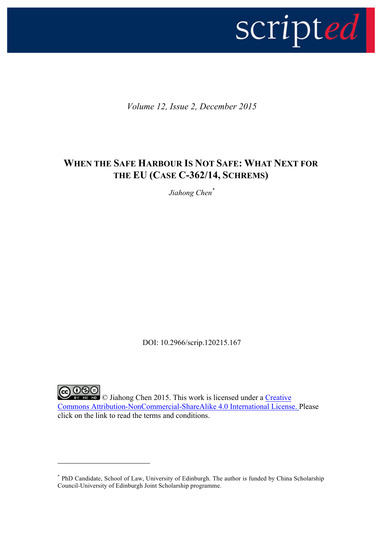

*Volume 12, Issue 2, December 2015*

# **WHEN THE SAFE HARBOUR IS NOT SAFE: WHAT NEXT FOR THE EU (CASE C-362/14, SCHREMS)**

*Jiahong Chen\**

DOI: 10.2966/scrip.120215.167

**CO DSO** Tiahong Chen 2015. This work is licensed under a Creative Commons Attribution-NonCommercial-ShareAlike 4.0 International License. Please click on the link to read the terms and conditions.

<sup>\*</sup> PhD Candidate, School of Law, University of Edinburgh. The author is funded by China Scholarship Council-University of Edinburgh Joint Scholarship programme.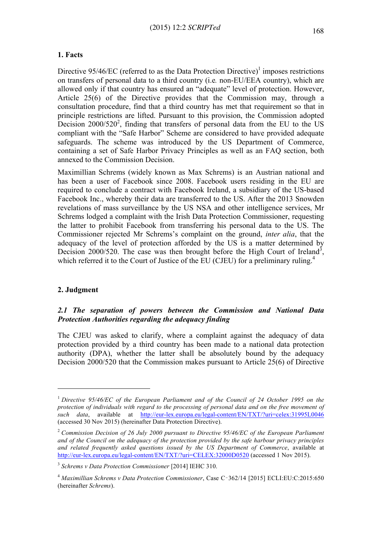#### **1. Facts**

Directive  $95/46/EC$  (referred to as the Data Protection Directive)<sup>1</sup> imposes restrictions on transfers of personal data to a third country (i.e*.* non-EU/EEA country), which are allowed only if that country has ensured an "adequate" level of protection. However, Article 25(6) of the Directive provides that the Commission may, through a consultation procedure, find that a third country has met that requirement so that in principle restrictions are lifted. Pursuant to this provision, the Commission adopted Decision 2000/520<sup>2</sup>, finding that transfers of personal data from the EU to the US compliant with the "Safe Harbor" Scheme are considered to have provided adequate safeguards. The scheme was introduced by the US Department of Commerce, containing a set of Safe Harbor Privacy Principles as well as an FAQ section, both annexed to the Commission Decision.

Maximillian Schrems (widely known as Max Schrems) is an Austrian national and has been a user of Facebook since 2008. Facebook users residing in the EU are required to conclude a contract with Facebook Ireland, a subsidiary of the US-based Facebook Inc., whereby their data are transferred to the US. After the 2013 Snowden revelations of mass surveillance by the US NSA and other intelligence services, Mr Schrems lodged a complaint with the Irish Data Protection Commissioner, requesting the latter to prohibit Facebook from transferring his personal data to the US. The Commissioner rejected Mr Schrems's complaint on the ground, *inter alia*, that the adequacy of the level of protection afforded by the US is a matter determined by Decision 2000/520. The case was then brought before the High Court of Ireland<sup>3</sup>, which referred it to the Court of Justice of the EU (CJEU) for a preliminary ruling.<sup>4</sup>

#### **2. Judgment**

 $\overline{a}$ 

# *2.1 The separation of powers between the Commission and National Data Protection Authorities regarding the adequacy finding*

The CJEU was asked to clarify, where a complaint against the adequacy of data protection provided by a third country has been made to a national data protection authority (DPA), whether the latter shall be absolutely bound by the adequacy Decision 2000/520 that the Commission makes pursuant to Article 25(6) of Directive

<sup>1</sup> *Directive 95/46/EC of the European Parliament and of the Council of 24 October 1995 on the protection of individuals with regard to the processing of personal data and on the free movement of such data*, available at http://eur-lex.europa.eu/legal-content/EN/TXT/?uri=celex:31995L0046 (accessed 30 Nov 2015) (hereinafter Data Protection Directive).

<sup>2</sup> *Commission Decision of 26 July 2000 pursuant to Directive 95/46/EC of the European Parliament and of the Council on the adequacy of the protection provided by the safe harbour privacy principles and related frequently asked questions issued by the US Department of Commerce*, available at http://eur-lex.europa.eu/legal-content/EN/TXT/?uri=CELEX:32000D0520 (accessed 1 Nov 2015).

<sup>3</sup> *Schrems v Data Protection Commissioner* [2014] IEHC 310.

<sup>4</sup> *Maximillian Schrems v Data Protection Commissioner*, Case C‑362/14 [2015] ECLI:EU:C:2015:650 (hereinafter *Schrems*).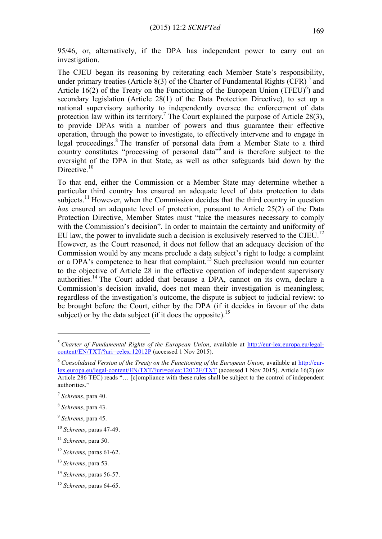95/46, or, alternatively, if the DPA has independent power to carry out an investigation.

The CJEU began its reasoning by reiterating each Member State's responsibility, under primary treaties (Article  $\overline{8(3)}$  of the Charter of Fundamental Rights (CFR)  $^5$  and Article 16(2) of the Treaty on the Functioning of the European Union  $(TFEU)^6$ ) and secondary legislation (Article 28(1) of the Data Protection Directive), to set up a national supervisory authority to independently oversee the enforcement of data protection law within its territory.<sup>7</sup> The Court explained the purpose of Article 28(3), to provide DPAs with a number of powers and thus guarantee their effective operation, through the power to investigate, to effectively intervene and to engage in legal proceedings.<sup>8</sup> The transfer of personal data from a Member State to a third country constitutes "processing of personal data"<sup>9</sup> and is therefore subject to the oversight of the DPA in that State, as well as other safeguards laid down by the Directive.<sup>10</sup>

To that end, either the Commission or a Member State may determine whether a particular third country has ensured an adequate level of data protection to data subjects.<sup>11</sup> However, when the Commission decides that the third country in question *has* ensured an adequate level of protection, pursuant to Article 25(2) of the Data Protection Directive, Member States must "take the measures necessary to comply with the Commission's decision". In order to maintain the certainty and uniformity of EU law, the power to invalidate such a decision is exclusively reserved to the CJEU.<sup>12</sup> However, as the Court reasoned, it does not follow that an adequacy decision of the Commission would by any means preclude a data subject's right to lodge a complaint or a DPA's competence to hear that complaint.<sup>13</sup> Such preclusion would run counter to the objective of Article 28 in the effective operation of independent supervisory authorities.<sup>14</sup> The Court added that because a DPA, cannot on its own, declare a Commission's decision invalid, does not mean their investigation is meaningless; regardless of the investigation's outcome, the dispute is subject to judicial review: to be brought before the Court, either by the DPA (if it decides in favour of the data subject) or by the data subject (if it does the opposite).<sup>15</sup>

<sup>5</sup> *Charter of Fundamental Rights of the European Union*, available at http://eur-lex.europa.eu/legalcontent/EN/TXT/?uri=celex:12012P (accessed 1 Nov 2015).

<sup>6</sup> *Consolidated Version of the Treaty on the Functioning of the European Union*, available at http://eurlex.europa.eu/legal-content/EN/TXT/?uri=celex:12012E/TXT (accessed 1 Nov 2015). Article 16(2) (ex Article 286 TEC) reads "... [c]ompliance with these rules shall be subject to the control of independent authorities."

<sup>7</sup> *Schrems*, para 40.

<sup>8</sup> *Schrems*, para 43.

<sup>9</sup> *Schrems*, para 45.

<sup>10</sup> *Schrems*, paras 47-49.

<sup>11</sup> *Schrems*, para 50.

<sup>12</sup> *Schrems,* paras 61-62.

<sup>13</sup> *Schrems*, para 53.

<sup>14</sup> *Schrems*, paras 56-57.

<sup>15</sup> *Schrems*, paras 64-65.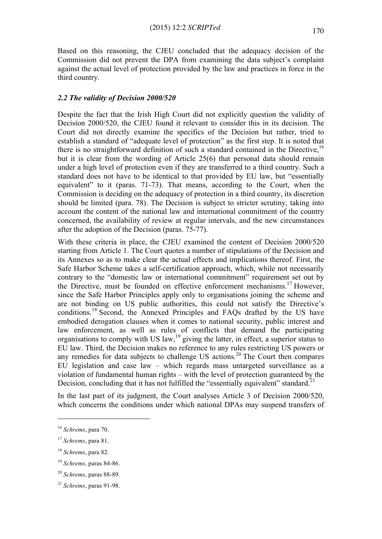Based on this reasoning, the CJEU concluded that the adequacy decision of the Commission did not prevent the DPA from examining the data subject's complaint against the actual level of protection provided by the law and practices in force in the third country.

# *2.2 The validity of Decision 2000/520*

Despite the fact that the Irish High Court did not explicitly question the validity of Decision 2000/520, the CJEU found it relevant to consider this in its decision. The Court did not directly examine the specifics of the Decision but rather, tried to establish a standard of "adequate level of protection" as the first step. It is noted that there is no straightforward definition of such a standard contained in the Directive,  $16$ but it is clear from the wording of Article 25(6) that personal data should remain under a high level of protection even if they are transferred to a third country. Such a standard does not have to be identical to that provided by EU law, but "essentially equivalent" to it (paras. 71-73). That means, according to the Court, when the Commission is deciding on the adequacy of protection in a third country, its discretion should be limited (para. 78). The Decision is subject to stricter scrutiny, taking into account the content of the national law and international commitment of the country concerned, the availability of review at regular intervals, and the new circumstances after the adoption of the Decision (paras. 75-77).

With these criteria in place, the CJEU examined the content of Decision 2000/520 starting from Article 1. The Court quotes a number of stipulations of the Decision and its Annexes so as to make clear the actual effects and implications thereof. First, the Safe Harbor Scheme takes a self-certification approach, which, while not necessarily contrary to the "domestic law or international commitment" requirement set out by the Directive, must be founded on effective enforcement mechanisms.<sup>17</sup> However, since the Safe Harbor Principles apply only to organisations joining the scheme and are not binding on US public authorities, this could not satisfy the Directive's conditions.<sup>18</sup> Second, the Annexed Principles and FAQs drafted by the US have embodied derogation clauses when it comes to national security, public interest and law enforcement, as well as rules of conflicts that demand the participating organisations to comply with US law,  $19$  giving the latter, in effect, a superior status to EU law. Third, the Decision makes no reference to any rules restricting US powers or any remedies for data subjects to challenge US actions.<sup>20</sup> The Court then compares EU legislation and case law – which regards mass untargeted surveillance as a violation of fundamental human rights – with the level of protection guaranteed by the Decision, concluding that it has not fulfilled the "essentially equivalent" standard.<sup>21</sup>

In the last part of its judgment, the Court analyses Article 3 of Decision 2000/520, which concerns the conditions under which national DPAs may suspend transfers of

<sup>16</sup> *Schrems*, para 70.

<sup>17</sup> *Schrems*, para 81.

<sup>18</sup> *Schrems*, para 82.

<sup>19</sup> *Schrems*, paras 84-86.

<sup>20</sup> *Schrems*, paras 88-89.

<sup>21</sup> *Schrems*, paras 91-98.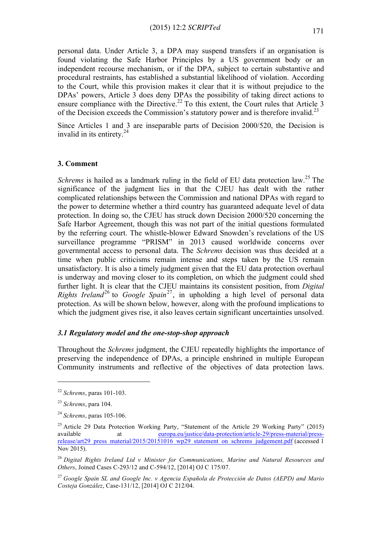personal data. Under Article 3, a DPA may suspend transfers if an organisation is found violating the Safe Harbor Principles by a US government body or an independent recourse mechanism, or if the DPA, subject to certain substantive and procedural restraints, has established a substantial likelihood of violation. According to the Court, while this provision makes it clear that it is without prejudice to the DPAs' powers, Article 3 does deny DPAs the possibility of taking direct actions to ensure compliance with the Directive.<sup>22</sup> To this extent, the Court rules that Article 3 of the Decision exceeds the Commission's statutory power and is therefore invalid.<sup>23</sup>

Since Articles 1 and 3 are inseparable parts of Decision 2000/520, the Decision is invalid in its entirety. $24$ 

#### **3. Comment**

*Schrems* is hailed as a landmark ruling in the field of EU data protection law.<sup>25</sup> The significance of the judgment lies in that the CJEU has dealt with the rather complicated relationships between the Commission and national DPAs with regard to the power to determine whether a third country has guaranteed adequate level of data protection. In doing so, the CJEU has struck down Decision 2000/520 concerning the Safe Harbor Agreement, though this was not part of the initial questions formulated by the referring court. The whistle-blower Edward Snowden's revelations of the US surveillance programme "PRISM" in 2013 caused worldwide concerns over governmental access to personal data. The *Schrems* decision was thus decided at a time when public criticisms remain intense and steps taken by the US remain unsatisfactory. It is also a timely judgment given that the EU data protection overhaul is underway and moving closer to its completion, on which the judgment could shed further light. It is clear that the CJEU maintains its consistent position, from *Digital Rights Ireland*<sup>26</sup> to *Google Spain*<sup>27</sup>, in upholding a high level of personal data protection. As will be shown below, however, along with the profound implications to which the judgment gives rise, it also leaves certain significant uncertainties unsolved.

### *3.1 Regulatory model and the one-stop-shop approach*

Throughout the *Schrems* judgment, the CJEU repeatedly highlights the importance of preserving the independence of DPAs, a principle enshrined in multiple European Community instruments and reflective of the objectives of data protection laws.

<sup>22</sup> *Schrems*, paras 101-103.

<sup>23</sup> *Schrems*, para 104.

<sup>24</sup> *Schrems*, paras 105-106.

<sup>&</sup>lt;sup>25</sup> Article 29 Data Protection Working Party, "Statement of the Article 29 Working Party" (2015) available at europa.eu/justice/data-protection/article-29/press-material/pressrelease/art29\_press\_material/2015/20151016\_wp29\_statement\_on\_schrems\_judgement.pdf (accessed 1 Nov 2015).

<sup>26</sup> *Digital Rights Ireland Ltd v Minister for Communications, Marine and Natural Resources and Others*, Joined Cases C-293/12 and C-594/12, [2014] OJ C 175/07.

<sup>27</sup> *Google Spain SL and Google Inc. v Agencia Española de Protección de Datos (AEPD) and Mario Costeja González*, Case-131/12, [2014] OJ C 212/04.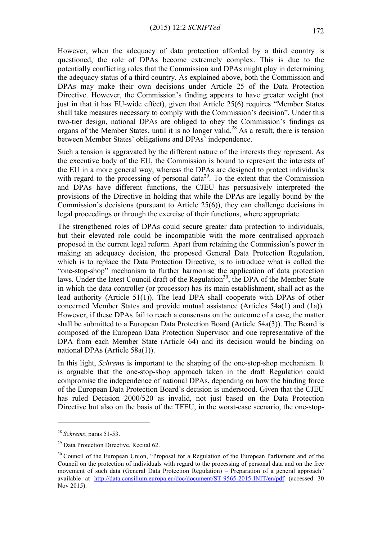However, when the adequacy of data protection afforded by a third country is questioned, the role of DPAs become extremely complex. This is due to the potentially conflicting roles that the Commission and DPAs might play in determining the adequacy status of a third country. As explained above, both the Commission and DPAs may make their own decisions under Article 25 of the Data Protection Directive. However, the Commission's finding appears to have greater weight (not just in that it has EU-wide effect), given that Article 25(6) requires "Member States shall take measures necessary to comply with the Commission's decision". Under this two-tier design, national DPAs are obliged to obey the Commission's findings as organs of the Member States, until it is no longer valid.<sup>28</sup> As a result, there is tension between Member States' obligations and DPAs' independence.

Such a tension is aggravated by the different nature of the interests they represent. As the executive body of the EU, the Commission is bound to represent the interests of the EU in a more general way, whereas the DPAs are designed to protect individuals with regard to the processing of personal data<sup>29</sup>. To the extent that the Commission and DPAs have different functions, the CJEU has persuasively interpreted the provisions of the Directive in holding that while the DPAs are legally bound by the Commission's decisions (pursuant to Article 25(6)), they can challenge decisions in legal proceedings or through the exercise of their functions, where appropriate.

The strengthened roles of DPAs could secure greater data protection to individuals, but their elevated role could be incompatible with the more centralised approach proposed in the current legal reform. Apart from retaining the Commission's power in making an adequacy decision, the proposed General Data Protection Regulation, which is to replace the Data Protection Directive, is to introduce what is called the "one-stop-shop" mechanism to further harmonise the application of data protection laws. Under the latest Council draft of the Regulation<sup>30</sup>, the DPA of the Member State in which the data controller (or processor) has its main establishment, shall act as the lead authority (Article 51(1)). The lead DPA shall cooperate with DPAs of other concerned Member States and provide mutual assistance (Articles 54a(1) and (1a)). However, if these DPAs fail to reach a consensus on the outcome of a case, the matter shall be submitted to a European Data Protection Board (Article 54a(3)). The Board is composed of the European Data Protection Supervisor and one representative of the DPA from each Member State (Article 64) and its decision would be binding on national DPAs (Article 58a(1)).

In this light, *Schrems* is important to the shaping of the one-stop-shop mechanism. It is arguable that the one-stop-shop approach taken in the draft Regulation could compromise the independence of national DPAs, depending on how the binding force of the European Data Protection Board's decision is understood. Given that the CJEU has ruled Decision 2000/520 as invalid, not just based on the Data Protection Directive but also on the basis of the TFEU, in the worst-case scenario, the one-stop-

<sup>28</sup> *Schrems*, paras 51-53.

<sup>&</sup>lt;sup>29</sup> Data Protection Directive, Recital 62.

<sup>&</sup>lt;sup>30</sup> Council of the European Union, "Proposal for a Regulation of the European Parliament and of the Council on the protection of individuals with regard to the processing of personal data and on the free movement of such data (General Data Protection Regulation) – Preparation of a general approach" available at http://data.consilium.europa.eu/doc/document/ST-9565-2015-INIT/en/pdf (accessed 30 Nov 2015).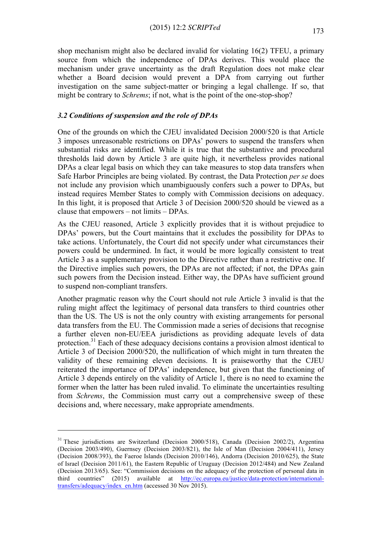shop mechanism might also be declared invalid for violating 16(2) TFEU, a primary source from which the independence of DPAs derives. This would place the mechanism under grave uncertainty as the draft Regulation does not make clear whether a Board decision would prevent a DPA from carrying out further investigation on the same subject-matter or bringing a legal challenge. If so, that might be contrary to *Schrems*; if not, what is the point of the one-stop-shop?

# *3.2 Conditions of suspension and the role of DPAs*

One of the grounds on which the CJEU invalidated Decision 2000/520 is that Article 3 imposes unreasonable restrictions on DPAs' powers to suspend the transfers when substantial risks are identified. While it is true that the substantive and procedural thresholds laid down by Article 3 are quite high, it nevertheless provides national DPAs a clear legal basis on which they can take measures to stop data transfers when Safe Harbor Principles are being violated. By contrast, the Data Protection *per se* does not include any provision which unambiguously confers such a power to DPAs, but instead requires Member States to comply with Commission decisions on adequacy. In this light, it is proposed that Article 3 of Decision 2000/520 should be viewed as a clause that empowers – not limits – DPAs.

As the CJEU reasoned, Article 3 explicitly provides that it is without prejudice to DPAs' powers, but the Court maintains that it excludes the possibility for DPAs to take actions. Unfortunately, the Court did not specify under what circumstances their powers could be undermined. In fact, it would be more logically consistent to treat Article 3 as a supplementary provision to the Directive rather than a restrictive one. If the Directive implies such powers, the DPAs are not affected; if not, the DPAs gain such powers from the Decision instead. Either way, the DPAs have sufficient ground to suspend non-compliant transfers.

Another pragmatic reason why the Court should not rule Article 3 invalid is that the ruling might affect the legitimacy of personal data transfers to third countries other than the US. The US is not the only country with existing arrangements for personal data transfers from the EU. The Commission made a series of decisions that recognise a further eleven non-EU/EEA jurisdictions as providing adequate levels of data protection.<sup>31</sup> Each of these adequacy decisions contains a provision almost identical to Article 3 of Decision 2000/520, the nullification of which might in turn threaten the validity of these remaining eleven decisions. It is praiseworthy that the CJEU reiterated the importance of DPAs' independence, but given that the functioning of Article 3 depends entirely on the validity of Article 1, there is no need to examine the former when the latter has been ruled invalid. To eliminate the uncertainties resulting from *Schrems*, the Commission must carry out a comprehensive sweep of these decisions and, where necessary, make appropriate amendments.

<sup>&</sup>lt;sup>31</sup> These jurisdictions are Switzerland (Decision 2000/518), Canada (Decision 2002/2), Argentina (Decision 2003/490), Guernsey (Decision 2003/821), the Isle of Man (Decision 2004/411), Jersey (Decision 2008/393), the Faeroe Islands (Decision 2010/146), Andorra (Decision 2010/625), the State of Israel (Decision 2011/61), the Eastern Republic of Uruguay (Decision 2012/484) and New Zealand (Decision 2013/65). See: "Commission decisions on the adequacy of the protection of personal data in third countries" (2015) available at http://ec.europa.eu/justice/data-protection/internationaltransfers/adequacy/index\_en.htm (accessed 30 Nov 2015).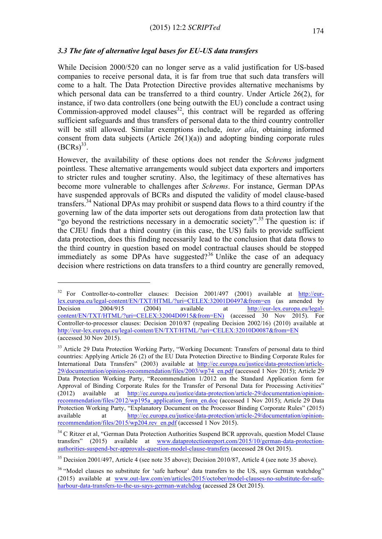### *3.3 The fate of alternative legal bases for EU-US data transfers*

While Decision 2000/520 can no longer serve as a valid justification for US-based companies to receive personal data, it is far from true that such data transfers will come to a halt. The Data Protection Directive provides alternative mechanisms by which personal data can be transferred to a third country. Under Article 26(2), for instance, if two data controllers (one being outwith the EU) conclude a contract using Commission-approved model clauses<sup>32</sup>, this contract will be regarded as offering sufficient safeguards and thus transfers of personal data to the third country controller will be still allowed. Similar exemptions include, *inter alia*, obtaining informed consent from data subjects (Article  $26(1)(a)$ ) and adopting binding corporate rules  $(BCRs)^{33}$ .

However, the availability of these options does not render the *Schrems* judgment pointless. These alternative arrangements would subject data exporters and importers to stricter rules and tougher scrutiny. Also, the legitimacy of these alternatives has become more vulnerable to challenges after *Schrems*. For instance, German DPAs have suspended approvals of BCRs and disputed the validity of model clause-based transfers.<sup>34</sup> National DPAs may prohibit or suspend data flows to a third country if the governing law of the data importer sets out derogations from data protection law that "go beyond the restrictions necessary in a democratic society".<sup>35</sup> The question is: if the CJEU finds that a third country (in this case, the US) fails to provide sufficient data protection, does this finding necessarily lead to the conclusion that data flows to the third country in question based on model contractual clauses should be stopped immediately as some DPAs have suggested?<sup>36</sup> Unlike the case of an adequacy decision where restrictions on data transfers to a third country are generally removed,

<sup>&</sup>lt;sup>32</sup> For Controller-to-controller clauses: Decision 2001/497 (2001) available at http://eurlex.europa.eu/legal-content/EN/TXT/HTML/?uri=CELEX:32001D0497&from=en (as amended by Decision 2004/915 (2004) available at http://eur-lex.europa.eu/legalcontent/EN/TXT/HTML/?uri=CELEX:32004D0915&from=EN) (accessed 30 Nov 2015). For Controller-to-processor clauses: Decision 2010/87 (repealing Decision 2002/16) (2010) available at http://eur-lex.europa.eu/legal-content/EN/TXT/HTML/?uri=CELEX:32010D0087&from=EN (accessed 30 Nov 2015).

<sup>&</sup>lt;sup>33</sup> Article 29 Data Protection Working Party, "Working Document: Transfers of personal data to third countries: Applying Article 26 (2) of the EU Data Protection Directive to Binding Corporate Rules for International Data Transfers" (2003) available at http://ec.europa.eu/justice/data-protection/article-29/documentation/opinion-recommendation/files/2003/wp74\_en.pdf (accessed 1 Nov 2015); Article 29 Data Protection Working Party, "Recommendation 1/2012 on the Standard Application form for Approval of Binding Corporate Rules for the Transfer of Personal Data for Processing Activities" (2012) available at http://ec.europa.eu/justice/data-protection/article-29/documentation/opinionrecommendation/files/2012/wp195a\_application\_form\_en.doc (accessed 1 Nov 2015); Article 29 Data Protection Working Party, "Explanatory Document on the Processor Binding Corporate Rules" (2015) available at http://ec.europa.eu/justice/data-protection/article-29/documentation/opinionrecommendation/files/2015/wp204.rev\_en.pdf (accessed 1 Nov 2015).

<sup>&</sup>lt;sup>34</sup> C Ritzer et al, "German Data Protection Authorities Suspend BCR approvals, question Model Clause transfers" (2015) available at www.dataprotectionreport.com/2015/10/german-data-protectionauthorities-suspend-bcr-approvals-question-model-clause-transfers (accessed 28 Oct 2015).

<sup>&</sup>lt;sup>35</sup> Decision 2001/497. Article 4 (see note 35 above); Decision 2010/87, Article 4 (see note 35 above).

<sup>&</sup>lt;sup>36</sup> "Model clauses no substitute for 'safe harbour' data transfers to the US, says German watchdog" (2015) available at www.out-law.com/en/articles/2015/october/model-clauses-no-substitute-for-safeharbour-data-transfers-to-the-us-says-german-watchdog (accessed 28 Oct 2015).